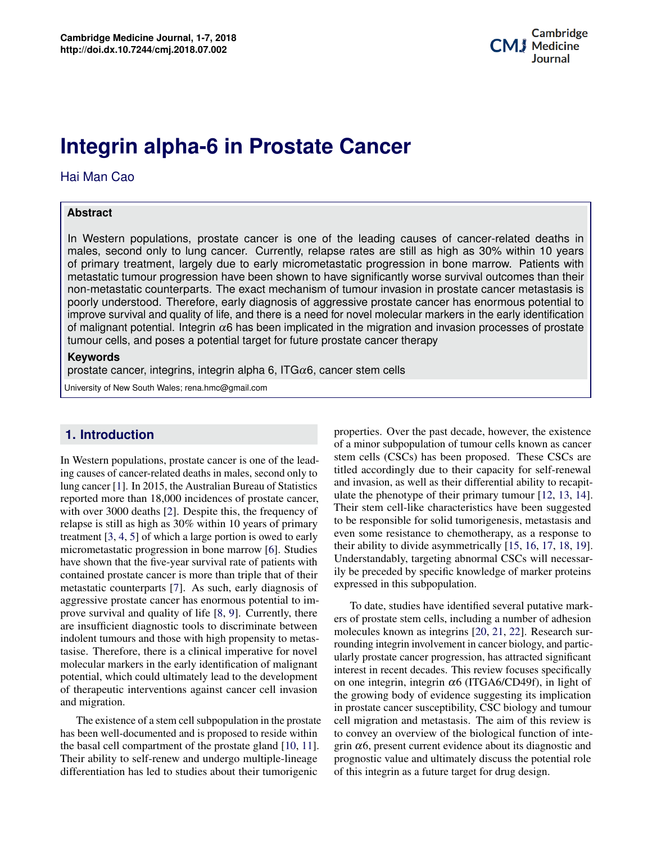Dominic Kwan

bioprinting in Regenerative Medicine

# **Potential Applications of Three-dimensional Bioprinting in Regenerative Medicine Integrin alpha-6 in Prostate Cancer**

Hai Man Cao

### **Abstract**

Potential applications of three-dimensional In Western populations, prostate cancer is one of the leading causes of cancer-related deaths in males, second only to lung cancer. Currently, relapse rates are still as high as 30% within 10 years of primary treatment, largely due to early micrometastatic progression in bone marrow. Patients with metastatic tumour progression have been shown to have significantly worse survival outcomes than their non-metastatic counterparts. The exact mechanism of tumour invasion in prostate cancer metastasis is poorly understood. Therefore, early diagnosis of aggressive prostate cancer has enormous potential to improve survival and quality of life, and there is a need for novel molecular markers in the early identification of malignant potential. Integrin  $\alpha$ 6 has been implicated in the migration and invasion processes of prostate tumour cells, and poses a potential target for future prostate cancer therapy

### **Keywords**

prostate cancer, integrins, integrin alpha 6, ITG $\alpha$ 6, cancer stem cells

University of New South Wales; rena.hmc@gmail.com

# **1. Introduction**

indolent tumours and those with high propensity to metas-**1 Background 1** molecular markers in the early identification of malignant **2 C CONDUGGERS 2 COLUM COLUM COLUM COLUM COLUM COLUM COLUM COLUM COLUM COLUM COLUM COLUM 3 Principles of Application/Methods of Bioprinting 2** and migration. In Western populations, prostate cancer is one of the leading causes of cancer-related deaths in males, second only to lung cancer [\[1\]](#page-3-0). In 2015, the Australian Bureau of Statistics reported more than 18,000 incidences of prostate cancer, with over 3000 deaths [\[2\]](#page-3-1). Despite this, the frequency of relapse is still as high as 30% within 10 years of primary treatment [\[3,](#page-3-2) [4,](#page-3-3) [5\]](#page-3-4) of which a large portion is owed to early micrometastatic progression in bone marrow [\[6\]](#page-3-5). Studies have shown that the five-year survival rate of patients with contained prostate cancer is more than triple that of their metastatic counterparts [\[7\]](#page-3-6). As such, early diagnosis of aggressive prostate cancer has enormous potential to improve survival and quality of life [\[8,](#page-3-7) [9\]](#page-3-8). Currently, there are insufficient diagnostic tools to discriminate between tasise. Therefore, there is a clinical imperative for novel potential, which could ultimately lead to the development

**4 Discussion 3** The existence of a stem cell subpopulation in the prostate the basal cell compartment of the prostate gland [\[10,](#page-3-9) [11\]](#page-3-10). Their ability to self-renew and undergo multiple-lineage differentiation has led to studies about their tumorigenic medicine, bioprinting is beginning to play a role in regenerhas been well-documented and is proposed to reside within

Understandably, targeting abnormal CSCs will necessar-<br>ily be preceded by specific knowledge of marker proteins properties. Over the past decade, however, the existence of a minor subpopulation of tumour cells known as cancer stem cells (CSCs) has been proposed. These CSCs are titled accordingly due to their capacity for self-renewal and invasion, as well as their differential ability to recapitulate the phenotype of their primary tumour [\[12,](#page-3-11) [13,](#page-3-12) [14\]](#page-3-13). Their stem cell-like characteristics have been suggested to be responsible for solid tumorigenesis, metastasis and even some resistance to chemotherapy, as a response to their ability to divide asymmetrically [\[15,](#page-4-0) [16,](#page-4-1) [17,](#page-4-2) [18,](#page-4-3) [19\]](#page-4-4). Understandably, targeting abnormal CSCs will necessarexpressed in this subpopulation.

To date, studies have identified several putative marktween *The Culture of Audensiei*<br> *The The Culture of Audensiei*<br> *The Culture of Organismentas* rounding integrin involvement in cancer biology, and particignant interest in recent decades. This review focuses specifically pment on one integrin, integrin  $\alpha$ 6 (ITGA6/CD49f), in light of  $\alpha$  assion in prostate cancer susceptibility, CSC biology and tumour is. The aim of this review is<br>reproduced function of integrin  $\alpha$ 6, present current evidence about its diagnostic and lery discuss the potential fole<br>rget for drug design. novel<br>
ularly prostate cancer progression, has attracted significant<br>
ularly prostate cancer progression, has attracted significant  $F<sup>281011</sup>$  the growing body of evidence suggesting its implication prostate cell migration and metastasis. The aim of this review is within to convey an overview of the biological function of inte-<br> $\frac{1}{2}$  and  $\frac{1}{2}$  of the ground summart suidances shout its discussition of the second technology have led to several famous meage in the prognostic value and ultimately discuss the potential role progressive the term term in the term of the processes in the second section of this integrin as a future target for drug design. ers of prostate stem cells, including a number of adhesion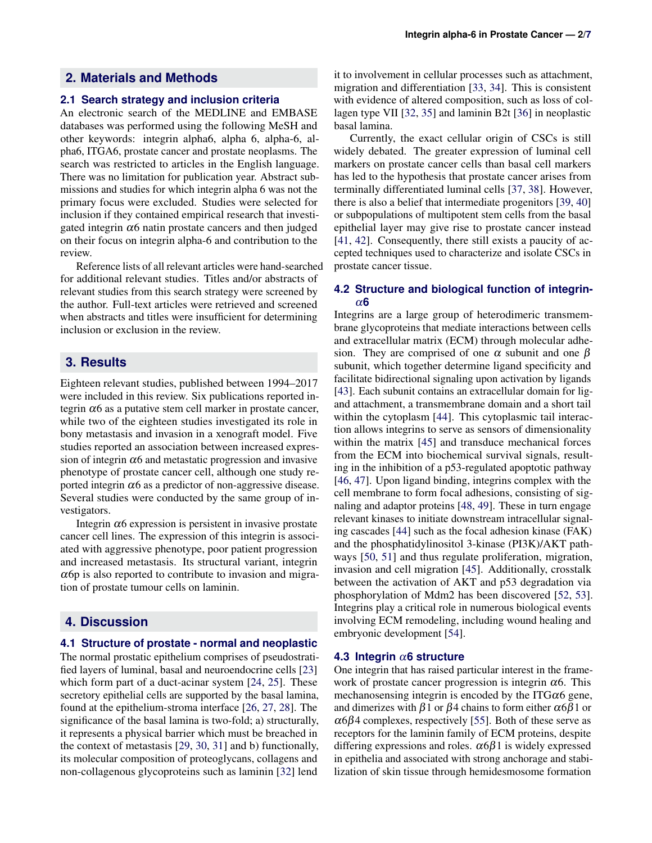#### **2.1 Search strategy and inclusion criteria**

An electronic search of the MEDLINE and EMBASE databases was performed using the following MeSH and other keywords: integrin alpha6, alpha 6, alpha-6, alpha6, ITGA6, prostate cancer and prostate neoplasms. The search was restricted to articles in the English language. There was no limitation for publication year. Abstract submissions and studies for which integrin alpha 6 was not the primary focus were excluded. Studies were selected for inclusion if they contained empirical research that investigated integrin  $\alpha$ 6 natin prostate cancers and then judged on their focus on integrin alpha-6 and contribution to the review.

Reference lists of all relevant articles were hand-searched for additional relevant studies. Titles and/or abstracts of relevant studies from this search strategy were screened by the author. Full-text articles were retrieved and screened when abstracts and titles were insufficient for determining inclusion or exclusion in the review.

## **3. Results**

Eighteen relevant studies, published between 1994–2017 were included in this review. Six publications reported integrin  $\alpha$ 6 as a putative stem cell marker in prostate cancer, while two of the eighteen studies investigated its role in bony metastasis and invasion in a xenograft model. Five studies reported an association between increased expression of integrin  $\alpha$ 6 and metastatic progression and invasive phenotype of prostate cancer cell, although one study reported integrin  $\alpha$ 6 as a predictor of non-aggressive disease. Several studies were conducted by the same group of investigators.

Integrin  $α6$  expression is persistent in invasive prostate cancer cell lines. The expression of this integrin is associated with aggressive phenotype, poor patient progression and increased metastasis. Its structural variant, integrin  $\alpha$ 6p is also reported to contribute to invasion and migration of prostate tumour cells on laminin.

# **4. Discussion**

## **4.1 Structure of prostate - normal and neoplastic**

The normal prostatic epithelium comprises of pseudostratified layers of luminal, basal and neuroendocrine cells [\[23\]](#page-4-8) which form part of a duct-acinar system [\[24,](#page-4-9) [25\]](#page-4-10). These secretory epithelial cells are supported by the basal lamina, found at the epithelium-stroma interface [\[26,](#page-4-11) [27,](#page-4-12) [28\]](#page-4-13). The significance of the basal lamina is two-fold; a) structurally, it represents a physical barrier which must be breached in the context of metastasis [\[29,](#page-4-14) [30,](#page-4-15) [31\]](#page-4-16) and b) functionally, its molecular composition of proteoglycans, collagens and non-collagenous glycoproteins such as laminin [\[32\]](#page-4-17) lend

it to involvement in cellular processes such as attachment, migration and differentiation [\[33,](#page-4-18) [34\]](#page-4-19). This is consistent with evidence of altered composition, such as loss of collagen type VII [\[32,](#page-4-17) [35\]](#page-4-20) and laminin B2t [\[36\]](#page-4-21) in neoplastic basal lamina.

Currently, the exact cellular origin of CSCs is still widely debated. The greater expression of luminal cell markers on prostate cancer cells than basal cell markers has led to the hypothesis that prostate cancer arises from terminally differentiated luminal cells [\[37,](#page-4-22) [38\]](#page-4-23). However, there is also a belief that intermediate progenitors [\[39,](#page-4-24) [40\]](#page-4-25) or subpopulations of multipotent stem cells from the basal epithelial layer may give rise to prostate cancer instead [\[41,](#page-5-0) [42\]](#page-5-1). Consequently, there still exists a paucity of accepted techniques used to characterize and isolate CSCs in prostate cancer tissue.

#### **4.2 Structure and biological function of integrin**α**6**

Integrins are a large group of heterodimeric transmembrane glycoproteins that mediate interactions between cells and extracellular matrix (ECM) through molecular adhesion. They are comprised of one  $\alpha$  subunit and one  $\beta$ subunit, which together determine ligand specificity and facilitate bidirectional signaling upon activation by ligands [\[43\]](#page-5-2). Each subunit contains an extracellular domain for ligand attachment, a transmembrane domain and a short tail within the cytoplasm [\[44\]](#page-5-3). This cytoplasmic tail interaction allows integrins to serve as sensors of dimensionality within the matrix [\[45\]](#page-5-4) and transduce mechanical forces from the ECM into biochemical survival signals, resulting in the inhibition of a p53-regulated apoptotic pathway [\[46,](#page-5-5) [47\]](#page-5-6). Upon ligand binding, integrins complex with the cell membrane to form focal adhesions, consisting of signaling and adaptor proteins [\[48,](#page-5-7) [49\]](#page-5-8). These in turn engage relevant kinases to initiate downstream intracellular signaling cascades [\[44\]](#page-5-3) such as the focal adhesion kinase (FAK) and the phosphatidylinositol 3-kinase (PI3K)/AKT pathways [\[50,](#page-5-9) [51\]](#page-5-10) and thus regulate proliferation, migration, invasion and cell migration [\[45\]](#page-5-4). Additionally, crosstalk between the activation of AKT and p53 degradation via phosphorylation of Mdm2 has been discovered [\[52,](#page-5-11) [53\]](#page-5-12). Integrins play a critical role in numerous biological events involving ECM remodeling, including wound healing and embryonic development [\[54\]](#page-5-13).

#### **4.3 Integrin** α**6 structure**

One integrin that has raised particular interest in the framework of prostate cancer progression is integrin  $\alpha$ 6. This mechanosensing integrin is encoded by the ITG $\alpha$ 6 gene, and dimerizes with  $\beta$ 1 or  $\beta$ 4 chains to form either  $\alpha$ 6 $\beta$ 1 or  $\alpha$ 6 $\beta$ 4 complexes, respectively [\[55\]](#page-5-14). Both of these serve as receptors for the laminin family of ECM proteins, despite differing expressions and roles.  $\alpha 6\beta 1$  is widely expressed in epithelia and associated with strong anchorage and stabilization of skin tissue through hemidesmosome formation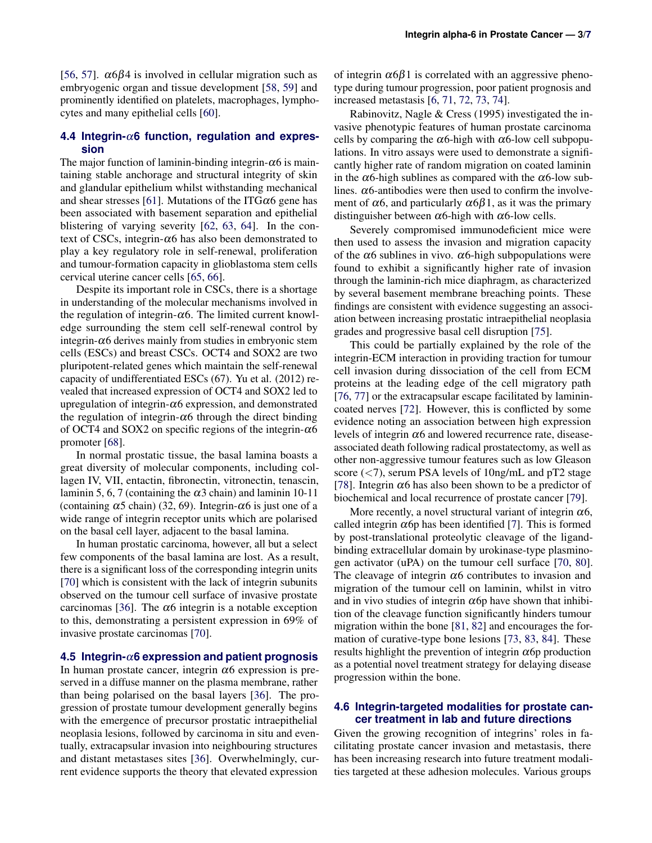[\[56,](#page-5-15) [57\]](#page-5-16).  $\alpha$ 6 $\beta$ 4 is involved in cellular migration such as embryogenic organ and tissue development [\[58,](#page-5-17) [59\]](#page-5-18) and prominently identified on platelets, macrophages, lymphocytes and many epithelial cells [\[60\]](#page-5-19).

#### **4.4 Integrin-**α**6 function, regulation and expression**

The major function of laminin-binding integrin- $\alpha$ 6 is maintaining stable anchorage and structural integrity of skin and glandular epithelium whilst withstanding mechanical and shear stresses [\[61\]](#page-5-20). Mutations of the ITG $\alpha$ 6 gene has been associated with basement separation and epithelial blistering of varying severity [\[62,](#page-5-21) [63,](#page-5-22) [64\]](#page-5-23). In the context of CSCs, integrin- $\alpha$ 6 has also been demonstrated to play a key regulatory role in self-renewal, proliferation and tumour-formation capacity in glioblastoma stem cells cervical uterine cancer cells [\[65,](#page-5-24) [66\]](#page-5-25).

Despite its important role in CSCs, there is a shortage in understanding of the molecular mechanisms involved in the regulation of integrin- $\alpha$ 6. The limited current knowledge surrounding the stem cell self-renewal control by integrin- $\alpha$ 6 derives mainly from studies in embryonic stem cells (ESCs) and breast CSCs. OCT4 and SOX2 are two pluripotent-related genes which maintain the self-renewal capacity of undifferentiated ESCs (67). Yu et al. (2012) revealed that increased expression of OCT4 and SOX2 led to upregulation of integrin- $\alpha$ 6 expression, and demonstrated the regulation of integrin- $\alpha$ 6 through the direct binding of OCT4 and SOX2 on specific regions of the integrin- $\alpha$ 6 promoter [\[68\]](#page-6-1).

In normal prostatic tissue, the basal lamina boasts a great diversity of molecular components, including collagen IV, VII, entactin, fibronectin, vitronectin, tenascin, laminin 5, 6, 7 (containing the  $\alpha$ 3 chain) and laminin 10-11 (containing  $\alpha$ 5 chain) (32, 69). Integrin- $\alpha$ 6 is just one of a wide range of integrin receptor units which are polarised on the basal cell layer, adjacent to the basal lamina.

In human prostatic carcinoma, however, all but a select few components of the basal lamina are lost. As a result, there is a significant loss of the corresponding integrin units [\[70\]](#page-6-2) which is consistent with the lack of integrin subunits observed on the tumour cell surface of invasive prostate carcinomas [\[36\]](#page-4-21). The  $\alpha$ 6 integrin is a notable exception to this, demonstrating a persistent expression in 69% of invasive prostate carcinomas [\[70\]](#page-6-2).

#### **4.5 Integrin-**α**6 expression and patient prognosis**

In human prostate cancer, integrin  $\alpha$ 6 expression is preserved in a diffuse manner on the plasma membrane, rather than being polarised on the basal layers [\[36\]](#page-4-21). The progression of prostate tumour development generally begins with the emergence of precursor prostatic intraepithelial neoplasia lesions, followed by carcinoma in situ and eventually, extracapsular invasion into neighbouring structures and distant metastases sites [\[36\]](#page-4-21). Overwhelmingly, current evidence supports the theory that elevated expression

of integrin  $\alpha$ 6 $\beta$ 1 is correlated with an aggressive phenotype during tumour progression, poor patient prognosis and increased metastasis [\[6,](#page-3-5) [71,](#page-6-3) [72,](#page-6-4) [73,](#page-6-5) [74\]](#page-6-6).

Rabinovitz, Nagle & Cress (1995) investigated the invasive phenotypic features of human prostate carcinoma cells by comparing the  $\alpha$ 6-high with  $\alpha$ 6-low cell subpopulations. In vitro assays were used to demonstrate a significantly higher rate of random migration on coated laminin in the  $\alpha$ 6-high sublines as compared with the  $\alpha$ 6-low sublines.  $\alpha$ 6-antibodies were then used to confirm the involvement of  $\alpha$ 6, and particularly  $\alpha$ 6 $\beta$ 1, as it was the primary distinguisher between  $\alpha$ 6-high with  $\alpha$ 6-low cells.

Severely compromised immunodeficient mice were then used to assess the invasion and migration capacity of the  $\alpha$ 6 sublines in vivo.  $\alpha$ 6-high subpopulations were found to exhibit a significantly higher rate of invasion through the laminin-rich mice diaphragm, as characterized by several basement membrane breaching points. These findings are consistent with evidence suggesting an association between increasing prostatic intraepithelial neoplasia grades and progressive basal cell disruption [\[75\]](#page-6-7).

This could be partially explained by the role of the integrin-ECM interaction in providing traction for tumour cell invasion during dissociation of the cell from ECM proteins at the leading edge of the cell migratory path [\[76,](#page-6-8) [77\]](#page-6-9) or the extracapsular escape facilitated by laminincoated nerves [\[72\]](#page-6-4). However, this is conflicted by some evidence noting an association between high expression levels of integrin  $\alpha$ 6 and lowered recurrence rate, diseaseassociated death following radical prostatectomy, as well as other non-aggressive tumour features such as low Gleason score (<7), serum PSA levels of 10ng/mL and pT2 stage [\[78\]](#page-6-10). Integrin  $\alpha$ 6 has also been shown to be a predictor of biochemical and local recurrence of prostate cancer [\[79\]](#page-6-11).

More recently, a novel structural variant of integrin  $\alpha$ 6, called integrin  $\alpha$  op has been identified [\[7\]](#page-3-6). This is formed by post-translational proteolytic cleavage of the ligandbinding extracellular domain by urokinase-type plasminogen activator (uPA) on the tumour cell surface [\[70,](#page-6-2) [80\]](#page-6-12). The cleavage of integrin  $\alpha$ 6 contributes to invasion and migration of the tumour cell on laminin, whilst in vitro and in vivo studies of integrin  $\alpha$  op have shown that inhibition of the cleavage function significantly hinders tumour migration within the bone [\[81,](#page-6-13) [82\]](#page-6-14) and encourages the formation of curative-type bone lesions [\[73,](#page-6-5) [83,](#page-6-15) [84\]](#page-6-16). These results highlight the prevention of integrin  $\alpha$  op production as a potential novel treatment strategy for delaying disease progression within the bone.

#### **4.6 Integrin-targeted modalities for prostate cancer treatment in lab and future directions**

Given the growing recognition of integrins' roles in facilitating prostate cancer invasion and metastasis, there has been increasing research into future treatment modalities targeted at these adhesion molecules. Various groups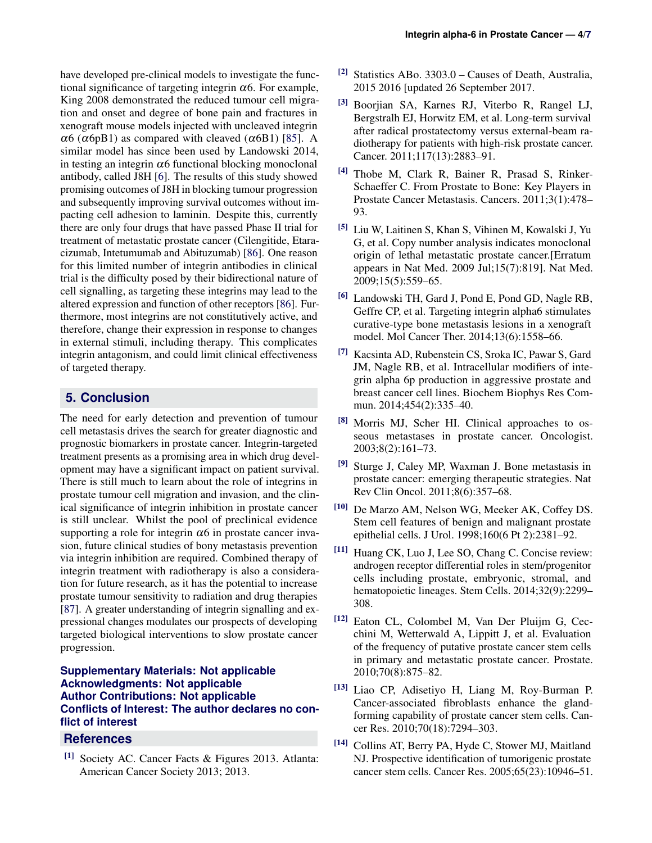have developed pre-clinical models to investigate the functional significance of targeting integrin  $\alpha$ 6. For example, King 2008 demonstrated the reduced tumour cell migration and onset and degree of bone pain and fractures in xenograft mouse models injected with uncleaved integrin  $\alpha$ 6 ( $\alpha$ 6pB1) as compared with cleaved ( $\alpha$ 6B1) [\[85\]](#page-6-17). A similar model has since been used by Landowski 2014, in testing an integrin  $\alpha$ 6 functional blocking monoclonal antibody, called J8H [\[6\]](#page-3-5). The results of this study showed promising outcomes of J8H in blocking tumour progression and subsequently improving survival outcomes without impacting cell adhesion to laminin. Despite this, currently there are only four drugs that have passed Phase II trial for treatment of metastatic prostate cancer (Cilengitide, Etaracizumab, Intetumumab and Abituzumab) [\[86\]](#page-6-18). One reason for this limited number of integrin antibodies in clinical trial is the difficulty posed by their bidirectional nature of cell signalling, as targeting these integrins may lead to the altered expression and function of other receptors [\[86\]](#page-6-18). Furthermore, most integrins are not constitutively active, and therefore, change their expression in response to changes in external stimuli, including therapy. This complicates integrin antagonism, and could limit clinical effectiveness of targeted therapy.

# **5. Conclusion**

The need for early detection and prevention of tumour cell metastasis drives the search for greater diagnostic and prognostic biomarkers in prostate cancer. Integrin-targeted treatment presents as a promising area in which drug development may have a significant impact on patient survival. There is still much to learn about the role of integrins in prostate tumour cell migration and invasion, and the clinical significance of integrin inhibition in prostate cancer is still unclear. Whilst the pool of preclinical evidence supporting a role for integrin  $\alpha$ 6 in prostate cancer invasion, future clinical studies of bony metastasis prevention via integrin inhibition are required. Combined therapy of integrin treatment with radiotherapy is also a consideration for future research, as it has the potential to increase prostate tumour sensitivity to radiation and drug therapies [\[87\]](#page-6-19). A greater understanding of integrin signalling and expressional changes modulates our prospects of developing targeted biological interventions to slow prostate cancer progression.

# **Supplementary Materials: Not applicable Acknowledgments: Not applicable Author Contributions: Not applicable Conflicts of Interest: The author declares no conflict of interest**

# **References**

<span id="page-3-0"></span>[1] Society AC. Cancer Facts & Figures 2013. Atlanta: American Cancer Society 2013; 2013.

- <span id="page-3-1"></span>[2] Statistics ABo. 3303.0 – Causes of Death, Australia, 2015 2016 [updated 26 September 2017.
- <span id="page-3-2"></span>[3] Boorjian SA, Karnes RJ, Viterbo R, Rangel LJ, Bergstralh EJ, Horwitz EM, et al. Long-term survival after radical prostatectomy versus external-beam radiotherapy for patients with high-risk prostate cancer. Cancer. 2011;117(13):2883–91.
- <span id="page-3-3"></span>[4] Thobe M, Clark R, Bainer R, Prasad S, Rinker-Schaeffer C. From Prostate to Bone: Key Players in Prostate Cancer Metastasis. Cancers. 2011;3(1):478– 93.
- <span id="page-3-4"></span>[5] Liu W, Laitinen S, Khan S, Vihinen M, Kowalski J, Yu G, et al. Copy number analysis indicates monoclonal origin of lethal metastatic prostate cancer.[Erratum appears in Nat Med. 2009 Jul;15(7):819]. Nat Med. 2009;15(5):559–65.
- <span id="page-3-5"></span>[6] Landowski TH, Gard J, Pond E, Pond GD, Nagle RB, Geffre CP, et al. Targeting integrin alpha6 stimulates curative-type bone metastasis lesions in a xenograft model. Mol Cancer Ther. 2014;13(6):1558–66.
- <span id="page-3-6"></span>[7] Kacsinta AD, Rubenstein CS, Sroka IC, Pawar S, Gard JM, Nagle RB, et al. Intracellular modifiers of integrin alpha 6p production in aggressive prostate and breast cancer cell lines. Biochem Biophys Res Commun. 2014;454(2):335–40.
- <span id="page-3-7"></span>[8] Morris MJ, Scher HI. Clinical approaches to osseous metastases in prostate cancer. Oncologist. 2003;8(2):161–73.
- <span id="page-3-8"></span><sup>[9]</sup> Sturge J, Caley MP, Waxman J. Bone metastasis in prostate cancer: emerging therapeutic strategies. Nat Rev Clin Oncol. 2011;8(6):357–68.
- <span id="page-3-9"></span>[10] De Marzo AM, Nelson WG, Meeker AK, Coffey DS. Stem cell features of benign and malignant prostate epithelial cells. J Urol. 1998;160(6 Pt 2):2381–92.
- <span id="page-3-10"></span>[11] Huang CK, Luo J, Lee SO, Chang C. Concise review: androgen receptor differential roles in stem/progenitor cells including prostate, embryonic, stromal, and hematopoietic lineages. Stem Cells. 2014;32(9):2299– 308.
- <span id="page-3-11"></span>[12] Eaton CL, Colombel M, Van Der Pluijm G, Cecchini M, Wetterwald A, Lippitt J, et al. Evaluation of the frequency of putative prostate cancer stem cells in primary and metastatic prostate cancer. Prostate. 2010;70(8):875–82.
- <span id="page-3-12"></span>[13] Liao CP, Adisetiyo H, Liang M, Roy-Burman P. Cancer-associated fibroblasts enhance the glandforming capability of prostate cancer stem cells. Cancer Res. 2010;70(18):7294–303.
- <span id="page-3-13"></span>[14] Collins AT, Berry PA, Hyde C, Stower MJ, Maitland NJ. Prospective identification of tumorigenic prostate cancer stem cells. Cancer Res. 2005;65(23):10946–51.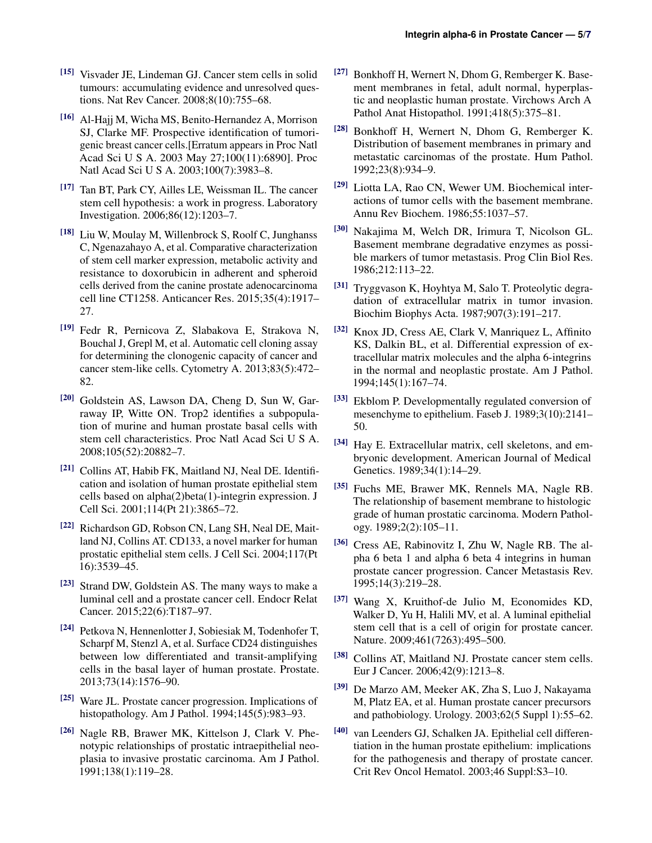- <span id="page-4-0"></span>[15] Visvader JE, Lindeman GJ. Cancer stem cells in solid tumours: accumulating evidence and unresolved questions. Nat Rev Cancer. 2008;8(10):755–68.
- <span id="page-4-1"></span>[16] Al-Hajj M, Wicha MS, Benito-Hernandez A, Morrison SJ, Clarke MF. Prospective identification of tumorigenic breast cancer cells.[Erratum appears in Proc Natl Acad Sci U S A. 2003 May 27;100(11):6890]. Proc Natl Acad Sci U S A. 2003;100(7):3983–8.
- <span id="page-4-2"></span>[17] Tan BT, Park CY, Ailles LE, Weissman IL. The cancer stem cell hypothesis: a work in progress. Laboratory Investigation. 2006;86(12):1203–7.
- <span id="page-4-3"></span>[18] Liu W, Moulay M, Willenbrock S, Roolf C, Junghanss C, Ngenazahayo A, et al. Comparative characterization of stem cell marker expression, metabolic activity and resistance to doxorubicin in adherent and spheroid cells derived from the canine prostate adenocarcinoma cell line CT1258. Anticancer Res. 2015;35(4):1917– 27.
- <span id="page-4-4"></span>[19] Fedr R, Pernicova Z, Slabakova E, Strakova N, Bouchal J, Grepl M, et al. Automatic cell cloning assay for determining the clonogenic capacity of cancer and cancer stem-like cells. Cytometry A. 2013;83(5):472– 82.
- <span id="page-4-5"></span>[20] Goldstein AS, Lawson DA, Cheng D, Sun W, Garraway IP, Witte ON. Trop2 identifies a subpopulation of murine and human prostate basal cells with stem cell characteristics. Proc Natl Acad Sci U S A. 2008;105(52):20882–7.
- <span id="page-4-6"></span>[21] Collins AT, Habib FK, Maitland NJ, Neal DE. Identification and isolation of human prostate epithelial stem cells based on alpha(2)beta(1)-integrin expression. J Cell Sci. 2001;114(Pt 21):3865–72.
- <span id="page-4-7"></span>[22] Richardson GD, Robson CN, Lang SH, Neal DE, Maitland NJ, Collins AT. CD133, a novel marker for human prostatic epithelial stem cells. J Cell Sci. 2004;117(Pt 16):3539–45.
- <span id="page-4-8"></span>[23] Strand DW, Goldstein AS. The many ways to make a luminal cell and a prostate cancer cell. Endocr Relat Cancer. 2015;22(6):T187–97.
- <span id="page-4-9"></span>[24] Petkova N, Hennenlotter J, Sobiesiak M, Todenhofer T, Scharpf M, Stenzl A, et al. Surface CD24 distinguishes between low differentiated and transit-amplifying cells in the basal layer of human prostate. Prostate. 2013;73(14):1576–90.
- <span id="page-4-10"></span>[25] Ware JL. Prostate cancer progression. Implications of histopathology. Am J Pathol. 1994;145(5):983–93.
- <span id="page-4-11"></span>[26] Nagle RB, Brawer MK, Kittelson J, Clark V. Phenotypic relationships of prostatic intraepithelial neoplasia to invasive prostatic carcinoma. Am J Pathol. 1991;138(1):119–28.
- <span id="page-4-12"></span>[27] Bonkhoff H, Wernert N, Dhom G, Remberger K. Basement membranes in fetal, adult normal, hyperplastic and neoplastic human prostate. Virchows Arch A Pathol Anat Histopathol. 1991;418(5):375–81.
- <span id="page-4-13"></span>[28] Bonkhoff H, Wernert N, Dhom G, Remberger K. Distribution of basement membranes in primary and metastatic carcinomas of the prostate. Hum Pathol. 1992;23(8):934–9.
- <span id="page-4-14"></span>[29] Liotta LA, Rao CN, Wewer UM. Biochemical interactions of tumor cells with the basement membrane. Annu Rev Biochem. 1986;55:1037–57.
- <span id="page-4-15"></span>[30] Nakajima M, Welch DR, Irimura T, Nicolson GL. Basement membrane degradative enzymes as possible markers of tumor metastasis. Prog Clin Biol Res. 1986;212:113–22.
- <span id="page-4-16"></span>[31] Tryggvason K, Hoyhtya M, Salo T. Proteolytic degradation of extracellular matrix in tumor invasion. Biochim Biophys Acta. 1987;907(3):191–217.
- <span id="page-4-17"></span>[32] Knox JD, Cress AE, Clark V, Manriquez L, Affinito KS, Dalkin BL, et al. Differential expression of extracellular matrix molecules and the alpha 6-integrins in the normal and neoplastic prostate. Am J Pathol. 1994;145(1):167–74.
- <span id="page-4-18"></span>[33] Ekblom P. Developmentally regulated conversion of mesenchyme to epithelium. Faseb J. 1989;3(10):2141– 50.
- <span id="page-4-19"></span>[34] Hay E. Extracellular matrix, cell skeletons, and embryonic development. American Journal of Medical Genetics. 1989;34(1):14–29.
- <span id="page-4-20"></span>[35] Fuchs ME, Brawer MK, Rennels MA, Nagle RB. The relationship of basement membrane to histologic grade of human prostatic carcinoma. Modern Pathology. 1989;2(2):105–11.
- <span id="page-4-21"></span>[36] Cress AE, Rabinovitz I, Zhu W, Nagle RB. The alpha 6 beta 1 and alpha 6 beta 4 integrins in human prostate cancer progression. Cancer Metastasis Rev. 1995;14(3):219–28.
- <span id="page-4-22"></span>[37] Wang X, Kruithof-de Julio M, Economides KD, Walker D, Yu H, Halili MV, et al. A luminal epithelial stem cell that is a cell of origin for prostate cancer. Nature. 2009;461(7263):495–500.
- <span id="page-4-23"></span>[38] Collins AT, Maitland NJ. Prostate cancer stem cells. Eur J Cancer. 2006;42(9):1213–8.
- <span id="page-4-24"></span>[39] De Marzo AM, Meeker AK, Zha S, Luo J, Nakayama M, Platz EA, et al. Human prostate cancer precursors and pathobiology. Urology. 2003;62(5 Suppl 1):55–62.
- <span id="page-4-25"></span>[40] van Leenders GJ, Schalken JA. Epithelial cell differentiation in the human prostate epithelium: implications for the pathogenesis and therapy of prostate cancer. Crit Rev Oncol Hematol. 2003;46 Suppl:S3–10.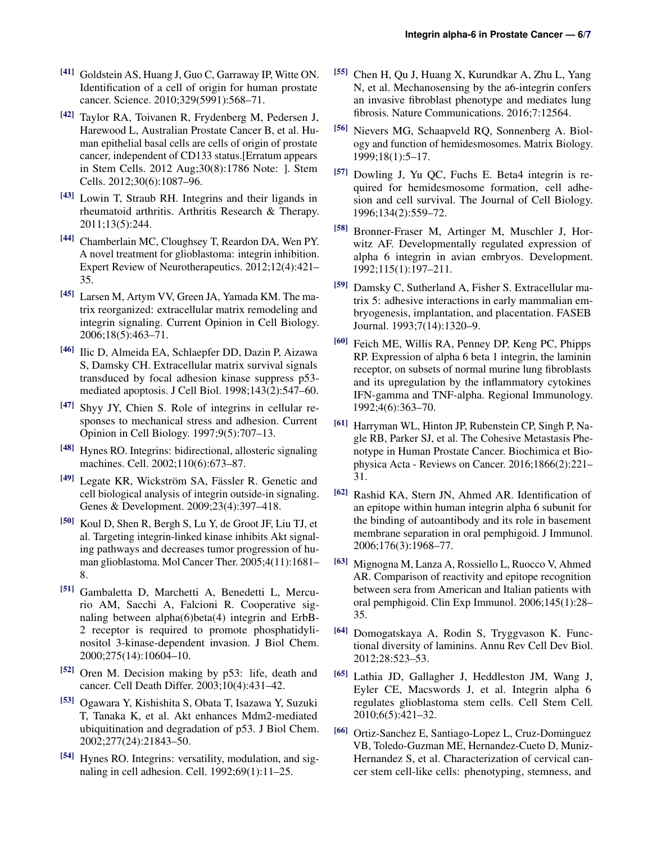- <span id="page-5-0"></span>[41] Goldstein AS, Huang J, Guo C, Garraway IP, Witte ON. Identification of a cell of origin for human prostate cancer. Science. 2010;329(5991):568–71.
- <span id="page-5-1"></span>[42] Taylor RA, Toivanen R, Frydenberg M, Pedersen J, Harewood L, Australian Prostate Cancer B, et al. Human epithelial basal cells are cells of origin of prostate cancer, independent of CD133 status.[Erratum appears in Stem Cells. 2012 Aug;30(8):1786 Note: ]. Stem Cells. 2012;30(6):1087–96.
- <span id="page-5-2"></span>[43] Lowin T, Straub RH. Integrins and their ligands in rheumatoid arthritis. Arthritis Research & Therapy. 2011;13(5):244.
- <span id="page-5-3"></span>[44] Chamberlain MC, Cloughsey T, Reardon DA, Wen PY. A novel treatment for glioblastoma: integrin inhibition. Expert Review of Neurotherapeutics. 2012;12(4):421– 35.
- <span id="page-5-4"></span>[45] Larsen M, Artym VV, Green JA, Yamada KM. The matrix reorganized: extracellular matrix remodeling and integrin signaling. Current Opinion in Cell Biology. 2006;18(5):463–71.
- <span id="page-5-5"></span>[46] Ilic D, Almeida EA, Schlaepfer DD, Dazin P, Aizawa S, Damsky CH. Extracellular matrix survival signals transduced by focal adhesion kinase suppress p53 mediated apoptosis. J Cell Biol. 1998;143(2):547–60.
- <span id="page-5-6"></span>[47] Shyy JY, Chien S. Role of integrins in cellular responses to mechanical stress and adhesion. Current Opinion in Cell Biology. 1997;9(5):707–13.
- <span id="page-5-7"></span>[48] Hynes RO. Integrins: bidirectional, allosteric signaling machines. Cell. 2002;110(6):673–87.
- <span id="page-5-8"></span> $[49]$  Legate KR, Wickström SA, Fässler R. Genetic and cell biological analysis of integrin outside-in signaling. Genes & Development. 2009;23(4):397–418.
- <span id="page-5-9"></span>[50] Koul D, Shen R, Bergh S, Lu Y, de Groot JF, Liu TJ, et al. Targeting integrin-linked kinase inhibits Akt signaling pathways and decreases tumor progression of human glioblastoma. Mol Cancer Ther. 2005;4(11):1681– 8.
- <span id="page-5-10"></span>[51] Gambaletta D, Marchetti A, Benedetti L, Mercurio AM, Sacchi A, Falcioni R. Cooperative signaling between alpha(6)beta(4) integrin and ErbB-2 receptor is required to promote phosphatidylinositol 3-kinase-dependent invasion. J Biol Chem. 2000;275(14):10604–10.
- <span id="page-5-11"></span>[52] Oren M. Decision making by p53: life, death and cancer. Cell Death Differ. 2003;10(4):431–42.
- <span id="page-5-12"></span>[53] Ogawara Y, Kishishita S, Obata T, Isazawa Y, Suzuki T, Tanaka K, et al. Akt enhances Mdm2-mediated ubiquitination and degradation of p53. J Biol Chem. 2002;277(24):21843–50.
- <span id="page-5-13"></span>[54] Hynes RO. Integrins: versatility, modulation, and signaling in cell adhesion. Cell. 1992;69(1):11–25.
- <span id="page-5-14"></span>[55] Chen H, Qu J, Huang X, Kurundkar A, Zhu L, Yang N, et al. Mechanosensing by the a6-integrin confers an invasive fibroblast phenotype and mediates lung fibrosis. Nature Communications. 2016;7:12564.
- <span id="page-5-15"></span>[56] Nievers MG, Schaapveld RQ, Sonnenberg A. Biology and function of hemidesmosomes. Matrix Biology. 1999;18(1):5–17.
- <span id="page-5-16"></span>[57] Dowling J, Yu QC, Fuchs E. Beta4 integrin is required for hemidesmosome formation, cell adhesion and cell survival. The Journal of Cell Biology. 1996;134(2):559–72.
- <span id="page-5-17"></span>[58] Bronner-Fraser M, Artinger M, Muschler J, Horwitz AF. Developmentally regulated expression of alpha 6 integrin in avian embryos. Development. 1992;115(1):197–211.
- <span id="page-5-18"></span>[59] Damsky C, Sutherland A, Fisher S. Extracellular matrix 5: adhesive interactions in early mammalian embryogenesis, implantation, and placentation. FASEB Journal. 1993;7(14):1320–9.
- <span id="page-5-19"></span>[60] Feich ME, Willis RA, Penney DP, Keng PC, Phipps RP. Expression of alpha 6 beta 1 integrin, the laminin receptor, on subsets of normal murine lung fibroblasts and its upregulation by the inflammatory cytokines IFN-gamma and TNF-alpha. Regional Immunology. 1992;4(6):363–70.
- <span id="page-5-20"></span>[61] Harryman WL, Hinton JP, Rubenstein CP, Singh P, Nagle RB, Parker SJ, et al. The Cohesive Metastasis Phenotype in Human Prostate Cancer. Biochimica et Biophysica Acta - Reviews on Cancer. 2016;1866(2):221– 31.
- <span id="page-5-21"></span>[62] Rashid KA, Stern JN, Ahmed AR. Identification of an epitope within human integrin alpha 6 subunit for the binding of autoantibody and its role in basement membrane separation in oral pemphigoid. J Immunol. 2006;176(3):1968–77.
- <span id="page-5-22"></span>[63] Mignogna M, Lanza A, Rossiello L, Ruocco V, Ahmed AR. Comparison of reactivity and epitope recognition between sera from American and Italian patients with oral pemphigoid. Clin Exp Immunol. 2006;145(1):28– 35.
- <span id="page-5-23"></span>[64] Domogatskaya A, Rodin S, Tryggvason K. Functional diversity of laminins. Annu Rev Cell Dev Biol. 2012;28:523–53.
- <span id="page-5-24"></span>[65] Lathia JD, Gallagher J, Heddleston JM, Wang J, Eyler CE, Macswords J, et al. Integrin alpha 6 regulates glioblastoma stem cells. Cell Stem Cell. 2010;6(5):421–32.
- <span id="page-5-25"></span>[66] Ortiz-Sanchez E, Santiago-Lopez L, Cruz-Dominguez VB, Toledo-Guzman ME, Hernandez-Cueto D, Muniz-Hernandez S, et al. Characterization of cervical cancer stem cell-like cells: phenotyping, stemness, and